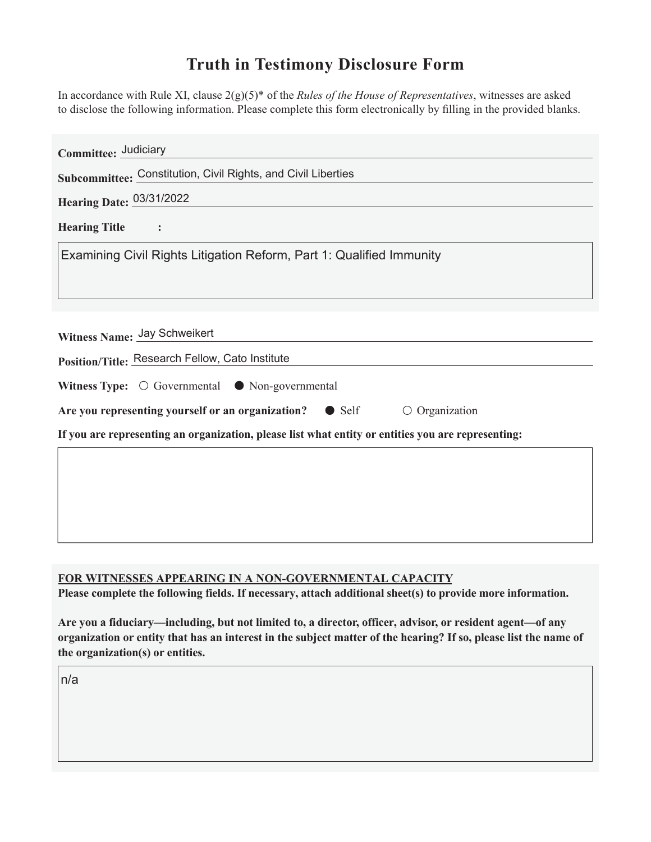## **Truth in Testimony Disclosure Form**

In accordance with Rule XI, clause 2(g)(5)\* of the *Rules of the House of Representatives*, witnesses are asked to disclose the following information. Please complete this form electronically by filling in the provided blanks.

| Committee: Judiciary                                                                               |
|----------------------------------------------------------------------------------------------------|
| Subcommittee: Constitution, Civil Rights, and Civil Liberties                                      |
| Hearing Date: 03/31/2022                                                                           |
| <b>Hearing Title</b>                                                                               |
| Examining Civil Rights Litigation Reform, Part 1: Qualified Immunity                               |
|                                                                                                    |
|                                                                                                    |
| Witness Name: Jay Schweikert                                                                       |
| Position/Title: Research Fellow, Cato Institute                                                    |
| Witness Type: $\bigcirc$ Governmental $\bigcirc$ Non-governmental                                  |
| Are you representing yourself or an organization?<br>$\circ$ Organization<br>$\bullet$ Self        |
| If you are representing an organization, please list what entity or entities you are representing: |
|                                                                                                    |
|                                                                                                    |
|                                                                                                    |
|                                                                                                    |

## **FOR WITNESSES APPEARING IN A NON-GOVERNMENTAL CAPACITY**

Please complete the following fields. If necessary, attach additional sheet(s) to provide more information.

Are you a fiduciary—including, but not limited to, a director, officer, advisor, or resident agent—of any organization or entity that has an interest in the subject matter of the hearing? If so, please list the name of **the organization(s) or entities.**

n/a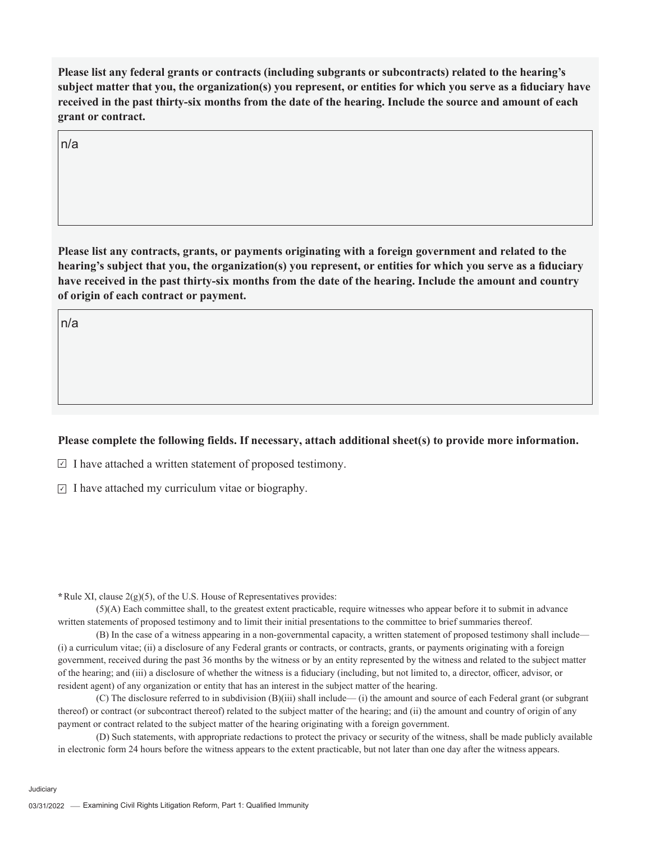Please list any federal grants or contracts (including subgrants or subcontracts) related to the hearing's subject matter that you, the organization(s) you represent, or entities for which you serve as a fiduciary have received in the past thirty-six months from the date of the hearing. Include the source and amount of each **grant or contract.** 

n/a

Please list any contracts, grants, or payments originating with a foreign government and related to the hearing's subject that you, the organization(s) you represent, or entities for which you serve as a fiduciary have received in the past thirty-six months from the date of the hearing. Include the amount and country **of origin of each contract or payment.** 

n/a

## Please complete the following fields. If necessary, attach additional sheet(s) to provide more information.

 $\Box$  I have attached a written statement of proposed testimony.

 $\overline{I}$  I have attached my curriculum vitae or biography.

**\***Rule XI, clause 2(g)(5), of the U.S. House of Representatives provides:

(5)(A) Each committee shall, to the greatest extent practicable, require witnesses who appear before it to submit in advance written statements of proposed testimony and to limit their initial presentations to the committee to brief summaries thereof.

(B) In the case of a witness appearing in a non-governmental capacity, a written statement of proposed testimony shall include— (i) a curriculum vitae; (ii) a disclosure of any Federal grants or contracts, or contracts, grants, or payments originating with a foreign government, received during the past 36 months by the witness or by an entity represented by the witness and related to the subject matter of the hearing; and (iii) a disclosure of whether the witness is a fiduciary (including, but not limited to, a director, officer, advisor, or resident agent) of any organization or entity that has an interest in the subject matter of the hearing.

(C) The disclosure referred to in subdivision (B)(iii) shall include— (i) the amount and source of each Federal grant (or subgrant thereof) or contract (or subcontract thereof) related to the subject matter of the hearing; and (ii) the amount and country of origin of any payment or contract related to the subject matter of the hearing originating with a foreign government.

(D) Such statements, with appropriate redactions to protect the privacy or security of the witness, shall be made publicly available in electronic form 24 hours before the witness appears to the extent practicable, but not later than one day after the witness appears.

Judiciary